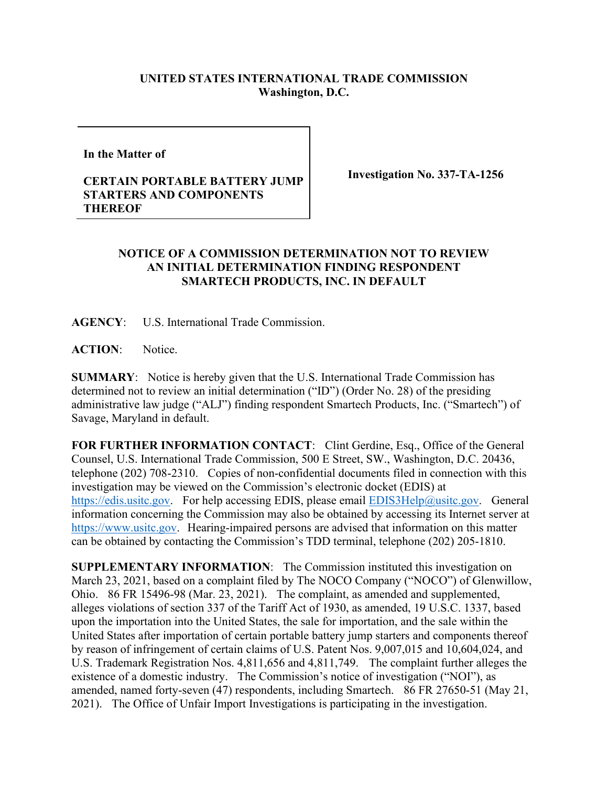## **UNITED STATES INTERNATIONAL TRADE COMMISSION Washington, D.C.**

**In the Matter of** 

## **CERTAIN PORTABLE BATTERY JUMP STARTERS AND COMPONENTS THEREOF**

**Investigation No. 337-TA-1256**

## **NOTICE OF A COMMISSION DETERMINATION NOT TO REVIEW AN INITIAL DETERMINATION FINDING RESPONDENT SMARTECH PRODUCTS, INC. IN DEFAULT**

**AGENCY**: U.S. International Trade Commission.

**ACTION**: Notice.

**SUMMARY**: Notice is hereby given that the U.S. International Trade Commission has determined not to review an initial determination ("ID") (Order No. 28) of the presiding administrative law judge ("ALJ") finding respondent Smartech Products, Inc. ("Smartech") of Savage, Maryland in default.

**FOR FURTHER INFORMATION CONTACT**: Clint Gerdine, Esq., Office of the General Counsel, U.S. International Trade Commission, 500 E Street, SW., Washington, D.C. 20436, telephone (202) 708-2310. Copies of non-confidential documents filed in connection with this investigation may be viewed on the Commission's electronic docket (EDIS) at [https://edis.usitc.gov.](https://edis.usitc.gov/) For help accessing EDIS, please email [EDIS3Help@usitc.gov.](mailto:EDIS3Help@usitc.gov) General information concerning the Commission may also be obtained by accessing its Internet server at [https://www.usitc.gov.](https://www.usitc.gov/) Hearing-impaired persons are advised that information on this matter can be obtained by contacting the Commission's TDD terminal, telephone (202) 205-1810.

**SUPPLEMENTARY INFORMATION**: The Commission instituted this investigation on March 23, 2021, based on a complaint filed by The NOCO Company ("NOCO") of Glenwillow, Ohio. 86 FR 15496-98 (Mar. 23, 2021). The complaint, as amended and supplemented, alleges violations of section 337 of the Tariff Act of 1930, as amended, 19 U.S.C. 1337, based upon the importation into the United States, the sale for importation, and the sale within the United States after importation of certain portable battery jump starters and components thereof by reason of infringement of certain claims of U.S. Patent Nos. 9,007,015 and 10,604,024, and U.S. Trademark Registration Nos. 4,811,656 and 4,811,749.The complaint further alleges the existence of a domestic industry. The Commission's notice of investigation ("NOI"), as amended, named forty-seven (47) respondents, including Smartech. 86 FR 27650-51 (May 21, 2021). The Office of Unfair Import Investigations is participating in the investigation.